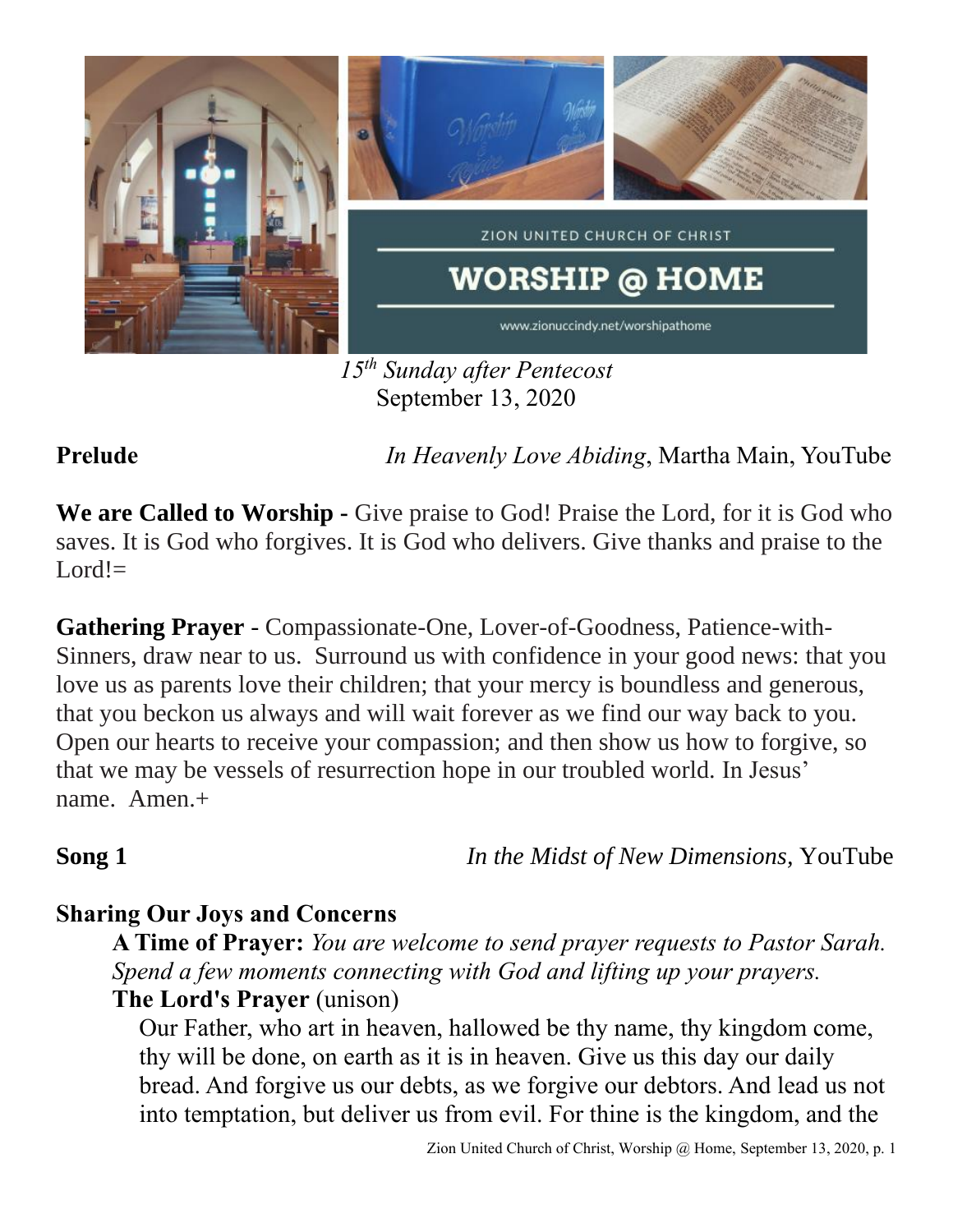

*15th Sunday after Pentecost* September 13, 2020

**Prelude** *In Heavenly Love Abiding*, Martha Main, YouTube

**We are Called to Worship -** Give praise to God! Praise the Lord, for it is God who saves. It is God who forgives. It is God who delivers. Give thanks and praise to the  $Lord!=$ 

**Gathering Prayer** - Compassionate-One, Lover-of-Goodness, Patience-with-Sinners, draw near to us. Surround us with confidence in your good news: that you love us as parents love their children; that your mercy is boundless and generous, that you beckon us always and will wait forever as we find our way back to you. Open our hearts to receive your compassion; and then show us how to forgive, so that we may be vessels of resurrection hope in our troubled world. In Jesus' name. Amen.+

**Song 1** *In the Midst of New Dimensions, YouTube* 

# **Sharing Our Joys and Concerns**

**A Time of Prayer:** *You are welcome to send prayer requests to Pastor Sarah. Spend a few moments connecting with God and lifting up your prayers.*

## **The Lord's Prayer** (unison)

Our Father, who art in heaven, hallowed be thy name, thy kingdom come, thy will be done, on earth as it is in heaven. Give us this day our daily bread. And forgive us our debts, as we forgive our debtors. And lead us not into temptation, but deliver us from evil. For thine is the kingdom, and the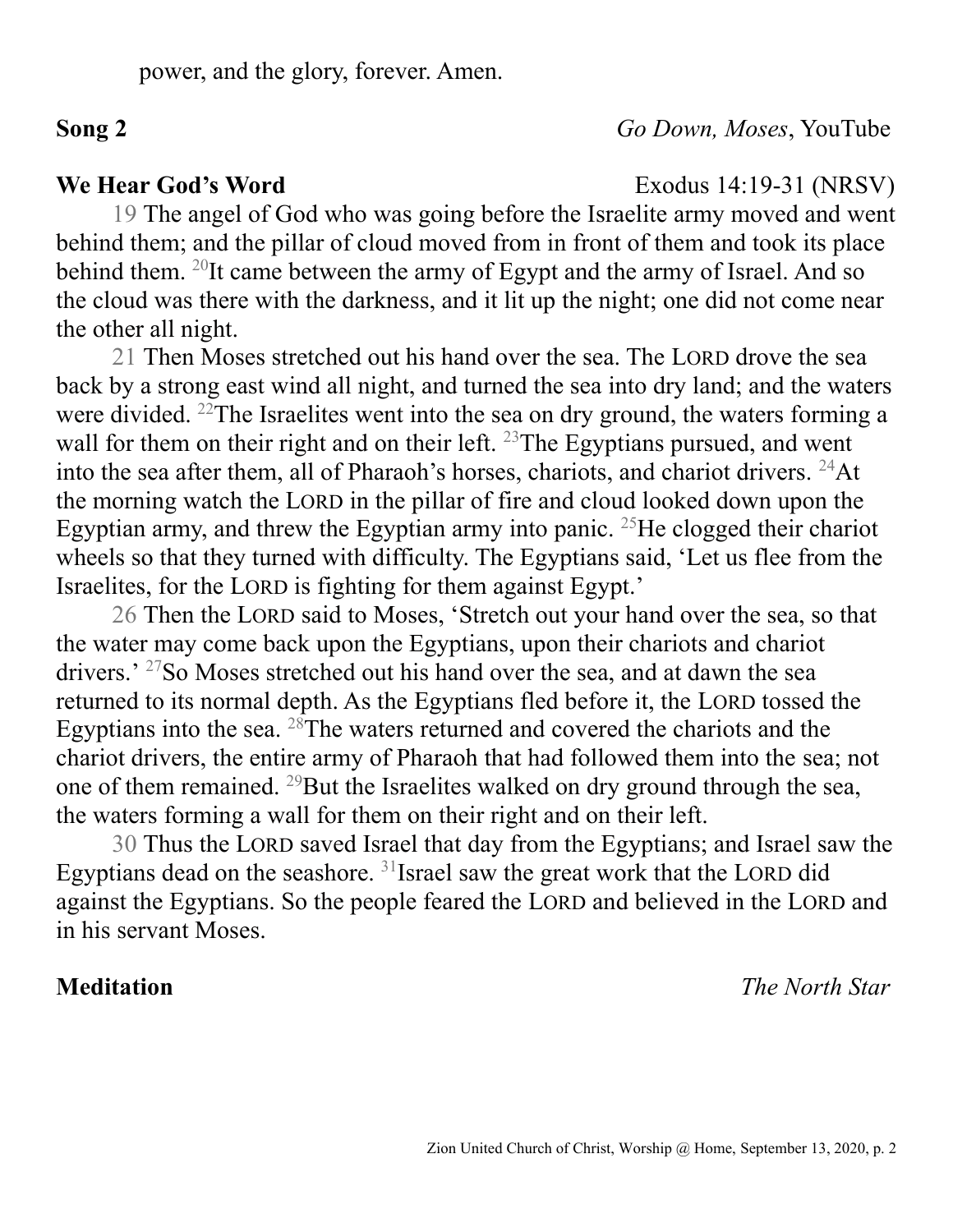## **Song 2** *Go Down, Moses*, YouTube

**We Hear God's Word** Exodus 14:19-31 (NRSV)

19 The angel of God who was going before the Israelite army moved and went behind them; and the pillar of cloud moved from in front of them and took its place behind them. <sup>20</sup>It came between the army of Egypt and the army of Israel. And so the cloud was there with the darkness, and it lit up the night; one did not come near the other all night.

21 Then Moses stretched out his hand over the sea. The LORD drove the sea back by a strong east wind all night, and turned the sea into dry land; and the waters were divided. <sup>22</sup>The Israelites went into the sea on dry ground, the waters forming a wall for them on their right and on their left.  $^{23}$ The Egyptians pursued, and went into the sea after them, all of Pharaoh's horses, chariots, and chariot drivers.  $^{24}$ At the morning watch the LORD in the pillar of fire and cloud looked down upon the Egyptian army, and threw the Egyptian army into panic. <sup>25</sup>He clogged their chariot wheels so that they turned with difficulty. The Egyptians said, 'Let us flee from the Israelites, for the LORD is fighting for them against Egypt.'

26 Then the LORD said to Moses, 'Stretch out your hand over the sea, so that the water may come back upon the Egyptians, upon their chariots and chariot drivers.' <sup>27</sup>So Moses stretched out his hand over the sea, and at dawn the sea returned to its normal depth. As the Egyptians fled before it, the LORD tossed the Egyptians into the sea. <sup>28</sup>The waters returned and covered the chariots and the chariot drivers, the entire army of Pharaoh that had followed them into the sea; not one of them remained. <sup>29</sup>But the Israelites walked on dry ground through the sea, the waters forming a wall for them on their right and on their left.

30 Thus the LORD saved Israel that day from the Egyptians; and Israel saw the Egyptians dead on the seashore.  $31$  Israel saw the great work that the LORD did against the Egyptians. So the people feared the LORD and believed in the LORD and in his servant Moses.

**Meditation** *The North Star*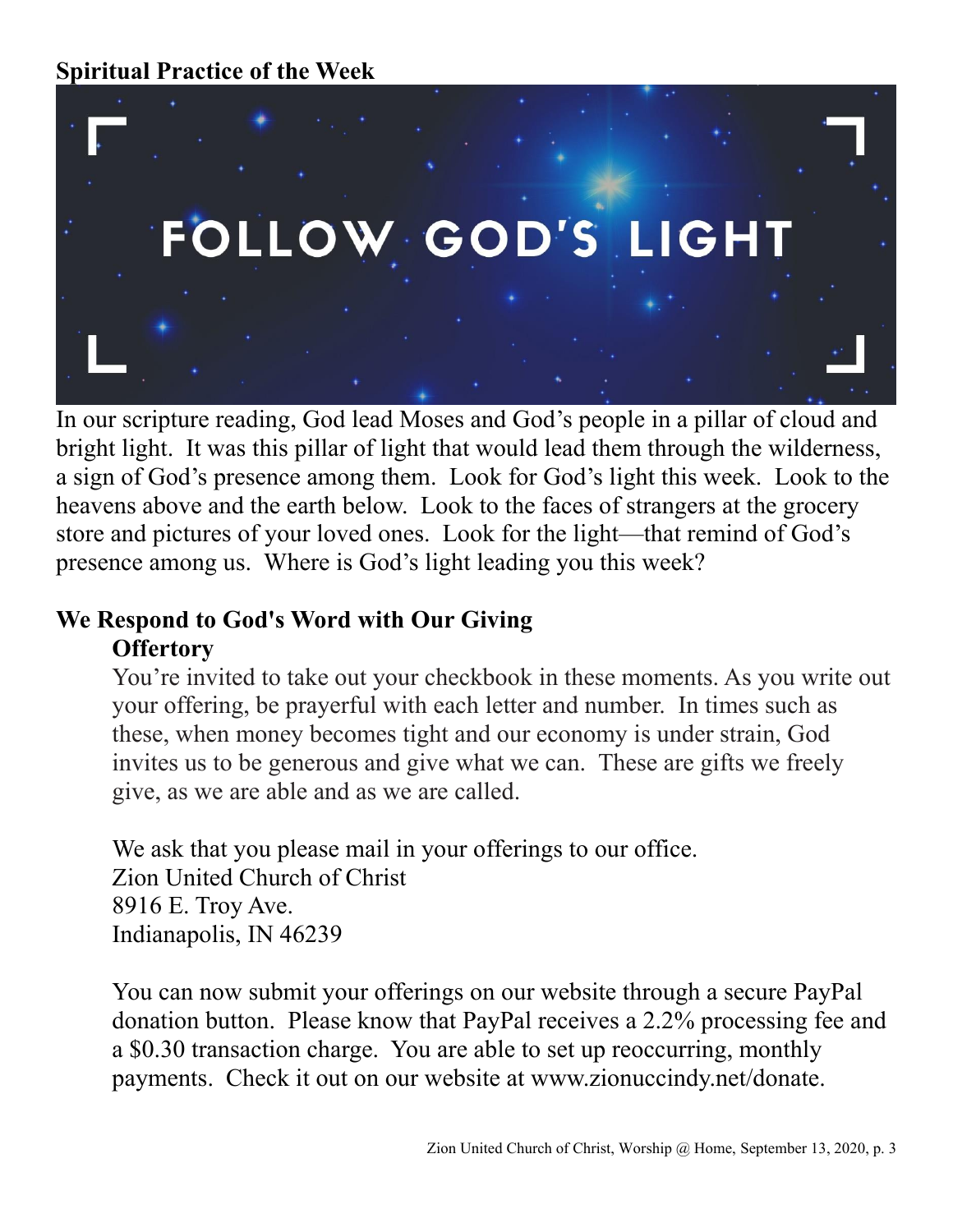

In our scripture reading, God lead Moses and God's people in a pillar of cloud and bright light. It was this pillar of light that would lead them through the wilderness, a sign of God's presence among them. Look for God's light this week. Look to the heavens above and the earth below. Look to the faces of strangers at the grocery store and pictures of your loved ones. Look for the light—that remind of God's presence among us. Where is God's light leading you this week?

# **We Respond to God's Word with Our Giving Offertory**

You're invited to take out your checkbook in these moments. As you write out your offering, be prayerful with each letter and number. In times such as these, when money becomes tight and our economy is under strain, God invites us to be generous and give what we can. These are gifts we freely give, as we are able and as we are called.

We ask that you please mail in your offerings to our office. Zion United Church of Christ 8916 E. Troy Ave. Indianapolis, IN 46239

You can now submit your offerings on our website through a secure PayPal donation button. Please know that PayPal receives a 2.2% processing fee and a \$0.30 transaction charge. You are able to set up reoccurring, monthly payments. Check it out on our website at www.zionuccindy.net/donate.